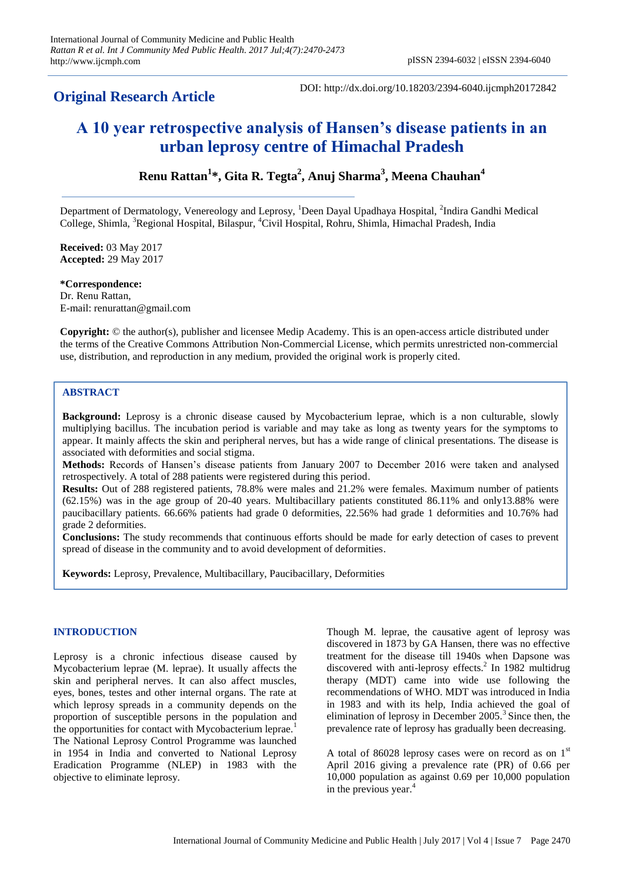## **Original Research Article**

DOI: http://dx.doi.org/10.18203/2394-6040.ijcmph20172842

# **A 10 year retrospective analysis of Hansen's disease patients in an urban leprosy centre of Himachal Pradesh**

## **Renu Rattan<sup>1</sup> \*, Gita R. Tegta<sup>2</sup> , Anuj Sharma<sup>3</sup> , Meena Chauhan<sup>4</sup>**

Department of Dermatology, Venereology and Leprosy, <sup>1</sup>Deen Dayal Upadhaya Hospital, <sup>2</sup>Indira Gandhi Medical College, Shimla, <sup>3</sup>Regional Hospital, Bilaspur, <sup>4</sup>Civil Hospital, Rohru, Shimla, Himachal Pradesh, India

**Received:** 03 May 2017 **Accepted:** 29 May 2017

**\*Correspondence:** Dr. Renu Rattan, E-mail: renurattan@gmail.com

**Copyright:** © the author(s), publisher and licensee Medip Academy. This is an open-access article distributed under the terms of the Creative Commons Attribution Non-Commercial License, which permits unrestricted non-commercial use, distribution, and reproduction in any medium, provided the original work is properly cited.

### **ABSTRACT**

**Background:** Leprosy is a chronic disease caused by Mycobacterium leprae, which is a non culturable, slowly multiplying bacillus. The incubation period is variable and may take as long as twenty years for the symptoms to appear. It mainly affects the skin and peripheral nerves, but has a wide range of clinical presentations. The disease is associated with deformities and social stigma.

**Methods:** Records of Hansen's disease patients from January 2007 to December 2016 were taken and analysed retrospectively. A total of 288 patients were registered during this period.

**Results:** Out of 288 registered patients, 78.8% were males and 21.2% were females. Maximum number of patients (62.15%) was in the age group of 20-40 years. Multibacillary patients constituted 86.11% and only13.88% were paucibacillary patients. 66.66% patients had grade 0 deformities, 22.56% had grade 1 deformities and 10.76% had grade 2 deformities.

**Conclusions:** The study recommends that continuous efforts should be made for early detection of cases to prevent spread of disease in the community and to avoid development of deformities.

**Keywords:** Leprosy, Prevalence, Multibacillary, Paucibacillary, Deformities

#### **INTRODUCTION**

Leprosy is a chronic infectious disease caused by Mycobacterium leprae (M. leprae). It usually affects the skin and peripheral nerves. It can also affect muscles, eyes, bones, testes and other internal organs. The rate at which leprosy spreads in a community depends on the proportion of susceptible persons in the population and the opportunities for contact with Mycobacterium leprae.<sup>1</sup> The National Leprosy Control Programme was launched in 1954 in India and converted to National Leprosy Eradication Programme (NLEP) in 1983 with the objective to eliminate leprosy.

Though M. leprae, the causative agent of leprosy was discovered in 1873 by GA Hansen, there was no effective treatment for the disease till 1940s when Dapsone was discovered with anti-leprosy effects.<sup>2</sup> In 1982 multidrug therapy (MDT) came into wide use following the recommendations of WHO. MDT was introduced in India in 1983 and with its help, India achieved the goal of elimination of leprosy in December  $2005<sup>3</sup>$  Since then, the prevalence rate of leprosy has gradually been decreasing.

A total of 86028 leprosy cases were on record as on  $1<sup>st</sup>$ April 2016 giving a prevalence rate (PR) of 0.66 per 10,000 population as against 0.69 per 10,000 population in the previous year.<sup>4</sup>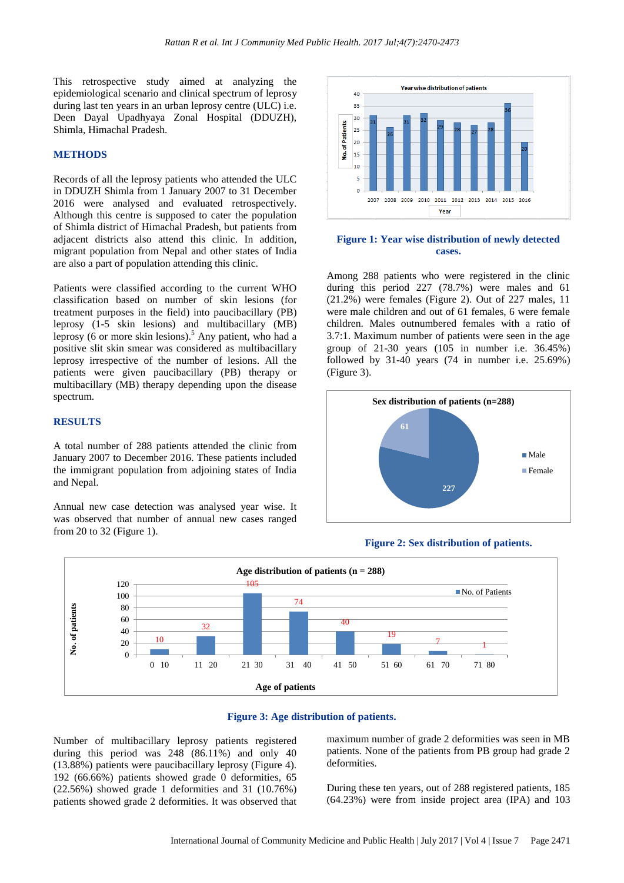This retrospective study aimed at analyzing the epidemiological scenario and clinical spectrum of leprosy during last ten years in an urban leprosy centre (ULC) i.e. Deen Dayal Upadhyaya Zonal Hospital (DDUZH), Shimla, Himachal Pradesh.

#### **METHODS**

Records of all the leprosy patients who attended the ULC in DDUZH Shimla from 1 January 2007 to 31 December 2016 were analysed and evaluated retrospectively. Although this centre is supposed to cater the population of Shimla district of Himachal Pradesh, but patients from adjacent districts also attend this clinic. In addition, migrant population from Nepal and other states of India are also a part of population attending this clinic.

Patients were classified according to the current WHO classification based on number of skin lesions (for treatment purposes in the field) into paucibacillary (PB) leprosy (1-5 skin lesions) and multibacillary (MB) leprosy (6 or more skin lesions). $<sup>5</sup>$  Any patient, who had a</sup> positive slit skin smear was considered as multibacillary leprosy irrespective of the number of lesions. All the patients were given paucibacillary (PB) therapy or multibacillary (MB) therapy depending upon the disease spectrum.

#### **RESULTS**

A total number of 288 patients attended the clinic from January 2007 to December 2016. These patients included the immigrant population from adjoining states of India and Nepal.

Annual new case detection was analysed year wise. It was observed that number of annual new cases ranged from 20 to 32 (Figure 1).



#### **Figure 1: Year wise distribution of newly detected cases.**

Among 288 patients who were registered in the clinic during this period 227 (78.7%) were males and 61 (21.2%) were females (Figure 2). Out of 227 males, 11 were male children and out of 61 females, 6 were female children. Males outnumbered females with a ratio of 3.7:1. Maximum number of patients were seen in the age group of 21-30 years (105 in number i.e. 36.45%) followed by 31-40 years (74 in number i.e. 25.69%) (Figure 3).



#### **Figure 2: Sex distribution of patients.**





Number of multibacillary leprosy patients registered during this period was  $248 (86.11\%)$  and only 40 (13.88%) patients were paucibacillary leprosy (Figure 4). 192 (66.66%) patients showed grade 0 deformities, 65 (22.56%) showed grade 1 deformities and 31 (10.76%) patients showed grade 2 deformities. It was observed that maximum number of grade 2 deformities was seen in MB patients. None of the patients from PB group had grade 2 deformities.

During these ten years, out of 288 registered patients, 185 (64.23%) were from inside project area (IPA) and 103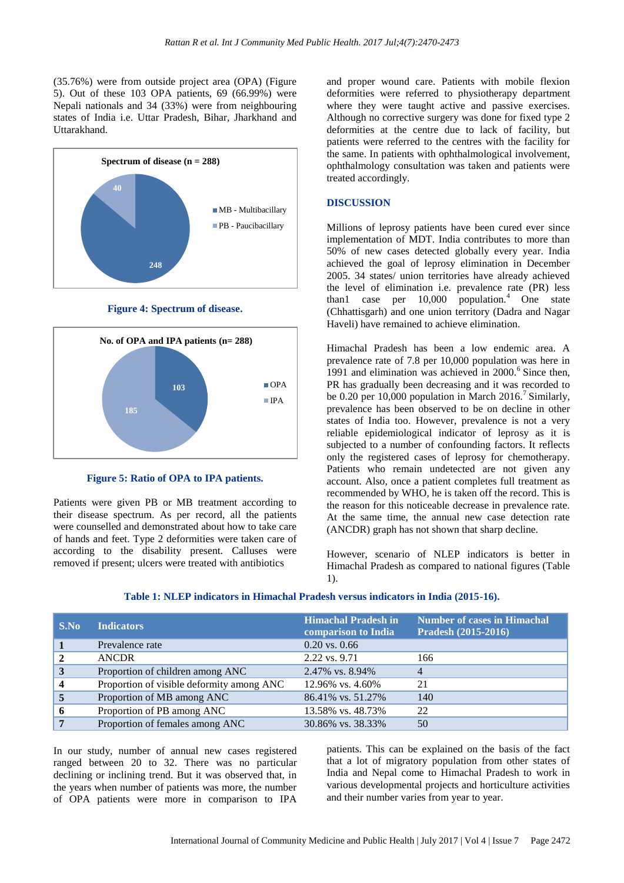(35.76%) were from outside project area (OPA) (Figure 5). Out of these 103 OPA patients, 69 (66.99%) were Nepali nationals and 34 (33%) were from neighbouring states of India i.e. Uttar Pradesh, Bihar, Jharkhand and Uttarakhand.



**Figure 4: Spectrum of disease.**



**Figure 5: Ratio of OPA to IPA patients.**

Patients were given PB or MB treatment according to their disease spectrum. As per record, all the patients were counselled and demonstrated about how to take care of hands and feet. Type 2 deformities were taken care of according to the disability present. Calluses were removed if present; ulcers were treated with antibiotics

and proper wound care. Patients with mobile flexion deformities were referred to physiotherapy department where they were taught active and passive exercises. Although no corrective surgery was done for fixed type 2 deformities at the centre due to lack of facility, but patients were referred to the centres with the facility for the same. In patients with ophthalmological involvement, ophthalmology consultation was taken and patients were treated accordingly.

#### **DISCUSSION**

Millions of leprosy patients have been cured ever since implementation of MDT. India contributes to more than 50% of new cases detected globally every year. India achieved the goal of leprosy elimination in December 2005. 34 states/ union territories have already achieved the level of elimination i.e. prevalence rate (PR) less than1 case per  $10,000$  population.<sup>4</sup> One state (Chhattisgarh) and one union territory (Dadra and Nagar Haveli) have remained to achieve elimination.

Himachal Pradesh has been a low endemic area. A prevalence rate of 7.8 per 10,000 population was here in 1991 and elimination was achieved in  $2000$ .<sup>6</sup> Since then, PR has gradually been decreasing and it was recorded to be 0.20 per 10,000 population in March 2016.<sup>7</sup> Similarly, prevalence has been observed to be on decline in other states of India too. However, prevalence is not a very reliable epidemiological indicator of leprosy as it is subjected to a number of confounding factors. It reflects only the registered cases of leprosy for chemotherapy. Patients who remain undetected are not given any account. Also, once a patient completes full treatment as recommended by WHO, he is taken off the record. This is the reason for this noticeable decrease in prevalence rate. At the same time, the annual new case detection rate (ANCDR) graph has not shown that sharp decline.

However, scenario of NLEP indicators is better in Himachal Pradesh as compared to national figures (Table 1).

| S.No                    | <b>Indicators</b>                         | <b>Himachal Pradesh in</b><br>comparison to India | <b>Number of cases in Himachal</b><br>Pradesh (2015-2016) |
|-------------------------|-------------------------------------------|---------------------------------------------------|-----------------------------------------------------------|
|                         | Prevalence rate                           | $0.20$ vs. $0.66$                                 |                                                           |
| $\overline{2}$          | <b>ANCDR</b>                              | 2.22 vs. 9.71                                     | 166                                                       |
| 3                       | Proportion of children among ANC          | 2.47% vs. 8.94%                                   | 4                                                         |
| $\overline{\mathbf{4}}$ | Proportion of visible deformity among ANC | 12.96% vs. 4.60%                                  | 21                                                        |
| 5                       | Proportion of MB among ANC                | 86.41% vs. 51.27%                                 | 140                                                       |
| 6                       | Proportion of PB among ANC                | 13.58% vs. 48.73%                                 | 22                                                        |
| 7                       | Proportion of females among ANC           | 30.86% vs. 38.33%                                 | 50                                                        |

#### **Table 1: NLEP indicators in Himachal Pradesh versus indicators in India (2015-16).**

In our study, number of annual new cases registered ranged between 20 to 32. There was no particular declining or inclining trend. But it was observed that, in the years when number of patients was more, the number of OPA patients were more in comparison to IPA patients. This can be explained on the basis of the fact that a lot of migratory population from other states of India and Nepal come to Himachal Pradesh to work in various developmental projects and horticulture activities and their number varies from year to year.